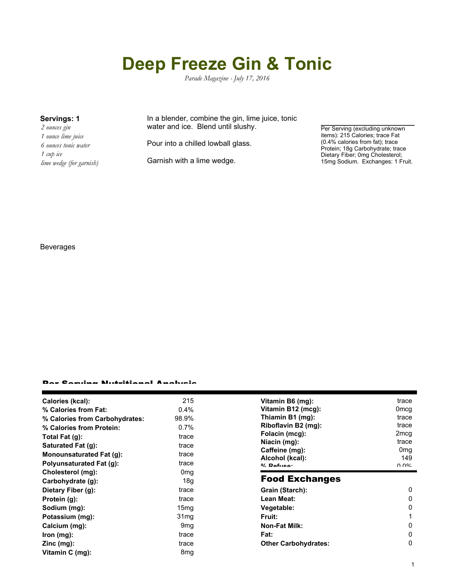# **Deep Freeze Gin & Tonic**

*Parade Magazine - July 17, 2016*

*2 ounces gin 1 ounce lime juice 6 ounces tonic water 1 cup ice lime wedge (for garnish)*

#### **Servings: 1** In a blender, combine the gin, lime juice, tonic water and ice. Blend until slushy.

Pour into a chilled lowball glass.

Garnish with a lime wedge.

Per Serving (excluding unknown items): 215 Calories; trace Fat (0.4% calories from fat); trace Protein; 18g Carbohydrate; trace Dietary Fiber; 0mg Cholesterol; 15mg Sodium. Exchanges: 1 Fruit.

### Beverages

#### Per Serving Nutritional Analysis

| Calories (kcal):                          | 215              | Vitamin B6 (mg):                  | trace                  |
|-------------------------------------------|------------------|-----------------------------------|------------------------|
| % Calories from Fat:                      | 0.4%             | Vitamin B12 (mcg):                | 0 <sub>mcq</sub>       |
| % Calories from Carbohydrates:            | 98.9%            | Thiamin B1 (mg):                  | trace                  |
| % Calories from Protein:                  | $0.7\%$          | Riboflavin B2 (mg):               | trace                  |
| Total Fat $(g)$ :                         | trace            | Folacin (mcg):                    | 2 <sub>mcg</sub>       |
| Saturated Fat (g):                        | trace            | Niacin (mg):                      | trace                  |
| Monounsaturated Fat (g):                  | trace            | Caffeine (mg):<br>Alcohol (kcal): | 0 <sub>mq</sub><br>149 |
| Polyunsaturated Fat (g):                  | trace            | $0/2$ Pofileon                    | ህ ሀለ                   |
| Cholesterol (mg):                         | 0 <sub>mg</sub>  | <b>Food Exchanges</b>             |                        |
| Carbohydrate (g):                         | 18 <sub>g</sub>  |                                   |                        |
| Dietary Fiber (g):                        | trace            | Grain (Starch):                   | 0                      |
| Protein (g):                              | trace            | Lean Meat:                        | 0                      |
| Sodium (mg):                              | 15 <sub>mg</sub> | Vegetable:                        | 0                      |
| Potassium (mg):                           | 31 <sub>mq</sub> | <b>Fruit:</b>                     |                        |
| Calcium (mg):                             | 9 <sub>mq</sub>  | <b>Non-Fat Milk:</b>              | 0                      |
| Iron (mg):                                | trace            | Fat:                              | 0                      |
| $\mathsf{Zinc}\left(\mathsf{mg}\right)$ : | trace            | <b>Other Carbohydrates:</b>       | 0                      |
| Vitamin C (mg):                           | 8 <sub>mg</sub>  |                                   |                        |